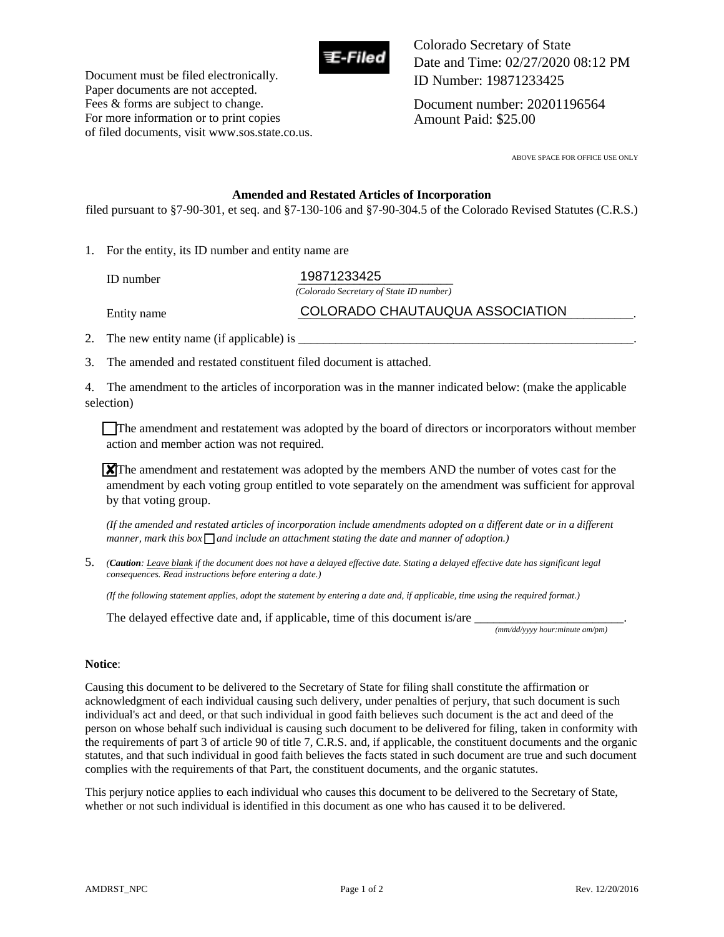

Document must be filed electronically. Paper documents are not accepted. Fees & forms are subject to change. For more information or to print copies of filed documents, visit www.sos.state.co.us. Colorado Secretary of State Date and Time: 02/27/2020 08:12 PM ID Number: 19871233425

Document number: 20201196564 Amount Paid: \$25.00

ABOVE SPACE FOR OFFICE USE ONLY

#### **Amended and Restated Articles of Incorporation**

filed pursuant to §7-90-301, et seq. and §7-130-106 and §7-90-304.5 of the Colorado Revised Statutes (C.R.S.)

1. For the entity, its ID number and entity name are

ID number **19871233425** *(Colorado Secretary of State ID number)*

Entity name **COLORADO CHAUTAUQUA ASSOCIATION** 

2. The new entity name (if applicable) is  $\Box$ 

3. The amended and restated constituent filed document is attached.

4. The amendment to the articles of incorporation was in the manner indicated below: (make the applicable selection)

The amendment and restatement was adopted by the board of directors or incorporators without member action and member action was not required.

 $\chi$ <sup>T</sup>he amendment and restatement was adopted by the members AND the number of votes cast for the amendment by each voting group entitled to vote separately on the amendment was sufficient for approval by that voting group.

*(If the amended and restated articles of incorporation include amendments adopted on a different date or in a different manner, mark this box*  $\bigcap$  *and include an attachment stating the date and manner of adoption.)* 

5. *(Caution: Leave blank if the document does not have a delayed effective date. Stating a delayed effective date has significant legal consequences. Read instructions before entering a date.)* 

*(If the following statement applies, adopt the statement by entering a date and, if applicable, time using the required format.)* 

The delayed effective date and, if applicable, time of this document is/are  $\overline{\phantom{a}}$ 

 *(mm/dd/yyyy hour:minute am/pm)* 

#### **Notice**:

Causing this document to be delivered to the Secretary of State for filing shall constitute the affirmation or acknowledgment of each individual causing such delivery, under penalties of perjury, that such document is such individual's act and deed, or that such individual in good faith believes such document is the act and deed of the person on whose behalf such individual is causing such document to be delivered for filing, taken in conformity with the requirements of part 3 of article 90 of title 7, C.R.S. and, if applicable, the constituent documents and the organic statutes, and that such individual in good faith believes the facts stated in such document are true and such document complies with the requirements of that Part, the constituent documents, and the organic statutes.

This perjury notice applies to each individual who causes this document to be delivered to the Secretary of State, whether or not such individual is identified in this document as one who has caused it to be delivered.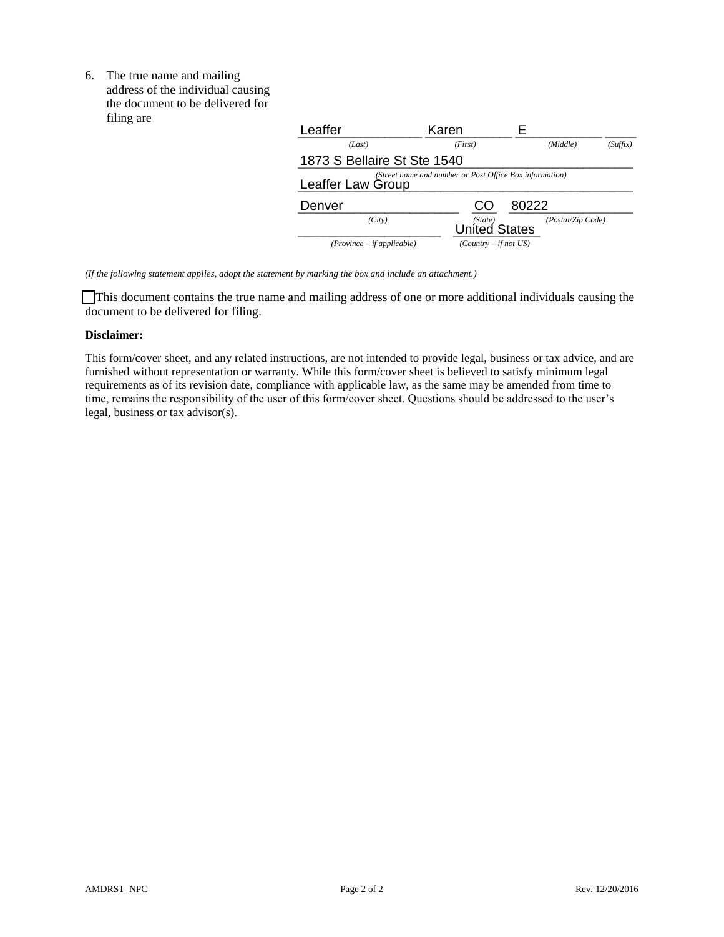6. The true name and mailing address of the individual causing the document to be delivered for filing are

| Thing are | Leaffer                                                                      | Karen                           |                   |          |
|-----------|------------------------------------------------------------------------------|---------------------------------|-------------------|----------|
|           | (Last)                                                                       | (First)                         | (Middle)          | (Suffix) |
|           | 1873 S Bellaire St Ste 1540                                                  |                                 |                   |          |
|           | (Street name and number or Post Office Box information)<br>Leaffer Law Group |                                 |                   |          |
|           | Denver                                                                       | CO                              | 80222             |          |
|           | (City)                                                                       | (State)<br><b>United States</b> | (Postal/Zip Code) |          |
|           | $(Province - if applicable)$                                                 | $(Country - if not US)$         |                   |          |

*(If the following statement applies, adopt the statement by marking the box and include an attachment.)* 

 This document contains the true name and mailing address of one or more additional individuals causing the document to be delivered for filing.

#### **Disclaimer:**

This form/cover sheet, and any related instructions, are not intended to provide legal, business or tax advice, and are furnished without representation or warranty. While this form/cover sheet is believed to satisfy minimum legal requirements as of its revision date, compliance with applicable law, as the same may be amended from time to time, remains the responsibility of the user of this form/cover sheet. Questions should be addressed to the user's legal, business or tax advisor(s).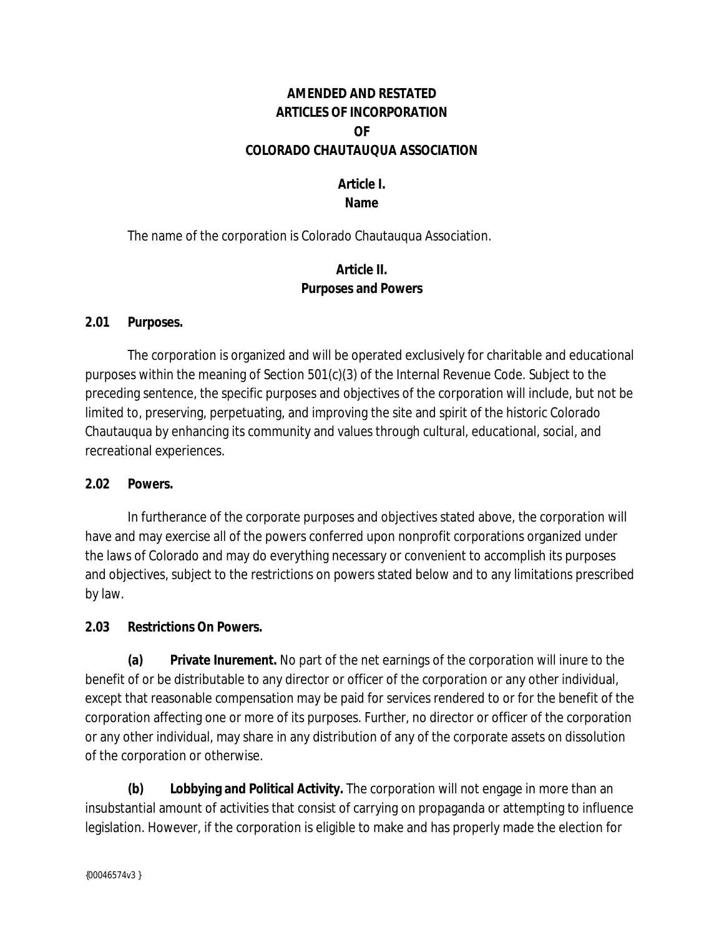## **AMENDED AND RESTATED ARTICLES OF INCORPORATION OF COLORADO CHAUTAUQUA ASSOCIATION**

### **Article I. Name**

The name of the corporation is Colorado Chautauqua Association.

### **Article II. Purposes and Powers**

### **2.01 Purposes.**

The corporation is organized and will be operated exclusively for charitable and educational purposes within the meaning of Section 501(c)(3) of the Internal Revenue Code. Subject to the preceding sentence, the specific purposes and objectives of the corporation will include, but not be limited to, preserving, perpetuating, and improving the site and spirit of the historic Colorado Chautauqua by enhancing its community and values through cultural, educational, social, and recreational experiences.

### **2.02 Powers.**

In furtherance of the corporate purposes and objectives stated above, the corporation will have and may exercise all of the powers conferred upon nonprofit corporations organized under the laws of Colorado and may do everything necessary or convenient to accomplish its purposes and objectives, subject to the restrictions on powers stated below and to any limitations prescribed by law.

### **2.03 Restrictions On Powers.**

**(a) Private Inurement.** No part of the net earnings of the corporation will inure to the benefit of or be distributable to any director or officer of the corporation or any other individual, except that reasonable compensation may be paid for services rendered to or for the benefit of the corporation affecting one or more of its purposes. Further, no director or officer of the corporation or any other individual, may share in any distribution of any of the corporate assets on dissolution of the corporation or otherwise.

**(b) Lobbying and Political Activity.** The corporation will not engage in more than an insubstantial amount of activities that consist of carrying on propaganda or attempting to influence legislation. However, if the corporation is eligible to make and has properly made the election for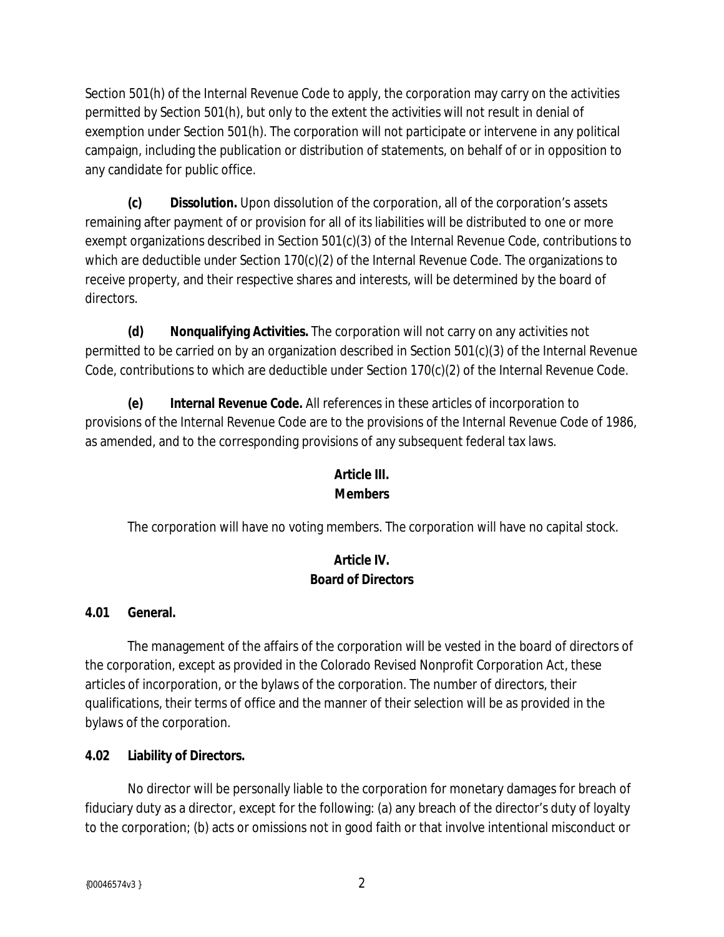Section 501(h) of the Internal Revenue Code to apply, the corporation may carry on the activities permitted by Section 501(h), but only to the extent the activities will not result in denial of exemption under Section 501(h). The corporation will not participate or intervene in any political campaign, including the publication or distribution of statements, on behalf of or in opposition to any candidate for public office.

**(c) Dissolution.** Upon dissolution of the corporation, all of the corporation's assets remaining after payment of or provision for all of its liabilities will be distributed to one or more exempt organizations described in Section 501(c)(3) of the Internal Revenue Code, contributions to which are deductible under Section 170(c)(2) of the Internal Revenue Code. The organizations to receive property, and their respective shares and interests, will be determined by the board of directors.

**(d) Nonqualifying Activities.** The corporation will not carry on any activities not permitted to be carried on by an organization described in Section 501(c)(3) of the Internal Revenue Code, contributions to which are deductible under Section 170(c)(2) of the Internal Revenue Code.

**(e) Internal Revenue Code.** All references in these articles of incorporation to provisions of the Internal Revenue Code are to the provisions of the Internal Revenue Code of 1986, as amended, and to the corresponding provisions of any subsequent federal tax laws.

## **Article III. Members**

The corporation will have no voting members. The corporation will have no capital stock.

# **Article IV. Board of Directors**

# **4.01 General.**

The management of the affairs of the corporation will be vested in the board of directors of the corporation, except as provided in the Colorado Revised Nonprofit Corporation Act, these articles of incorporation, or the bylaws of the corporation. The number of directors, their qualifications, their terms of office and the manner of their selection will be as provided in the bylaws of the corporation.

# **4.02 Liability of Directors.**

No director will be personally liable to the corporation for monetary damages for breach of fiduciary duty as a director, except for the following: (a) any breach of the director's duty of loyalty to the corporation; (b) acts or omissions not in good faith or that involve intentional misconduct or